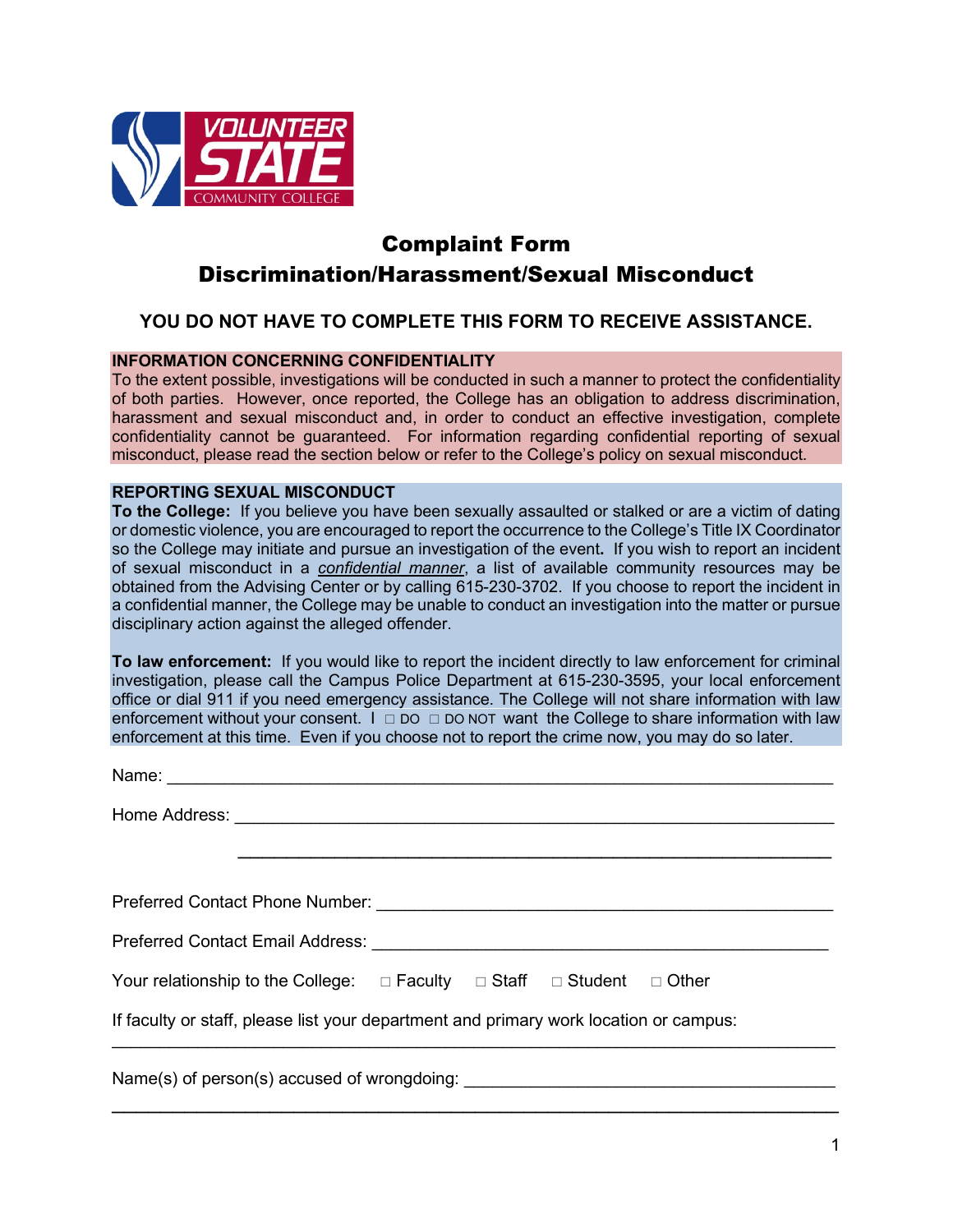

## Complaint Form Discrimination/Harassment/Sexual Misconduct

## **YOU DO NOT HAVE TO COMPLETE THIS FORM TO RECEIVE ASSISTANCE.**

## **INFORMATION CONCERNING CONFIDENTIALITY**

To the extent possible, investigations will be conducted in such a manner to protect the confidentiality of both parties. However, once reported, the College has an obligation to address discrimination, harassment and sexual misconduct and, in order to conduct an effective investigation, complete confidentiality cannot be guaranteed. For information regarding confidential reporting of sexual misconduct, please read the section below or refer to the College's policy on sexual misconduct.

## **REPORTING SEXUAL MISCONDUCT**

**To the College:** If you believe you have been sexually assaulted or stalked or are a victim of dating or domestic violence, you are encouraged to report the occurrence to the College's Title IX Coordinator so the College may initiate and pursue an investigation of the event**.** If you wish to report an incident of sexual misconduct in a *confidential manner*, a list of available community resources may be obtained from the Advising Center or by calling 615-230-3702. If you choose to report the incident in a confidential manner, the College may be unable to conduct an investigation into the matter or pursue disciplinary action against the alleged offender.

**To law enforcement:** If you would like to report the incident directly to law enforcement for criminal investigation, please call the Campus Police Department at 615-230-3595, your local enforcement office or dial 911 if you need emergency assistance. The College will not share information with law enforcement without your consent.  $I \square$  DO  $\square$  DO NOT want the College to share information with law enforcement at this time. Even if you choose not to report the crime now, you may do so later.

| Your relationship to the College: $\Box$ Faculty $\Box$ Staff $\Box$ Student $\Box$ Other |  |  |  |  |  |
|-------------------------------------------------------------------------------------------|--|--|--|--|--|
| If faculty or staff, please list your department and primary work location or campus:     |  |  |  |  |  |
|                                                                                           |  |  |  |  |  |